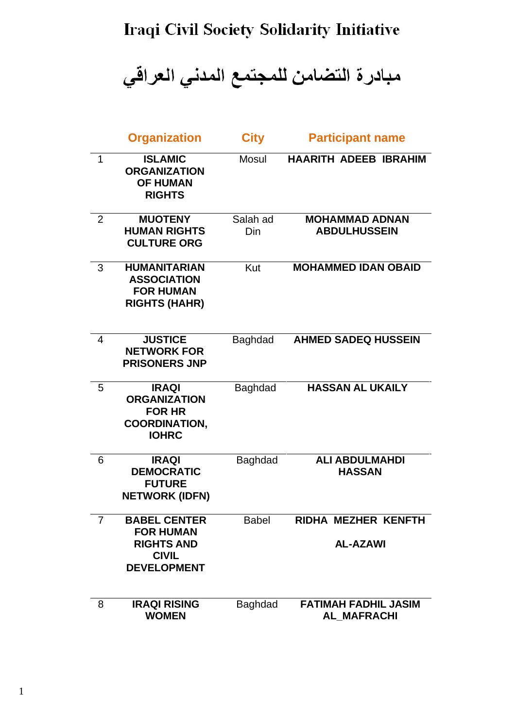## Iraqi Civil Society Solidarity Initiative

مبادرة التضامن للمجتمع المدني العراقي

|                | <b>Organization</b>                                                                                | <b>City</b>     | <b>Participant name</b>                           |
|----------------|----------------------------------------------------------------------------------------------------|-----------------|---------------------------------------------------|
| 1              | <b>ISLAMIC</b><br><b>ORGANIZATION</b><br><b>OF HUMAN</b><br><b>RIGHTS</b>                          | Mosul           | <b>HAARITH ADEEB IBRAHIM</b>                      |
| $\overline{2}$ | <b>MUOTENY</b><br><b>HUMAN RIGHTS</b><br><b>CULTURE ORG</b>                                        | Salah ad<br>Din | <b>MOHAMMAD ADNAN</b><br><b>ABDULHUSSEIN</b>      |
| 3              | <b>HUMANITARIAN</b><br><b>ASSOCIATION</b><br><b>FOR HUMAN</b><br><b>RIGHTS (HAHR)</b>              | Kut             | <b>MOHAMMED IDAN OBAID</b>                        |
| 4              | <b>JUSTICE</b><br><b>NETWORK FOR</b><br><b>PRISONERS JNP</b>                                       | <b>Baghdad</b>  | <b>AHMED SADEQ HUSSEIN</b>                        |
| 5              | <b>IRAQI</b><br><b>ORGANIZATION</b><br><b>FOR HR</b><br><b>COORDINATION,</b><br><b>IOHRC</b>       | Baghdad         | <b>HASSAN AL UKAILY</b>                           |
| 6              | <b>IRAQI</b><br><b>DEMOCRATIC</b><br><b>FUTURE</b><br><b>NETWORK (IDFN)</b>                        | <b>Baghdad</b>  | <b>ALI ABDULMAHDI</b><br><b>HASSAN</b>            |
| 7              | <b>BABEL CENTER</b><br><b>FOR HUMAN</b><br><b>RIGHTS AND</b><br><b>CIVIL</b><br><b>DEVELOPMENT</b> | <b>Babel</b>    | RIDHA MEZHER KENFTH<br><b>AL-AZAWI</b>            |
| 8              | <b>IRAQI RISING</b><br><b>WOMEN</b>                                                                | <b>Baghdad</b>  | <b>FATIMAH FADHIL JASIM</b><br><b>AL MAFRACHI</b> |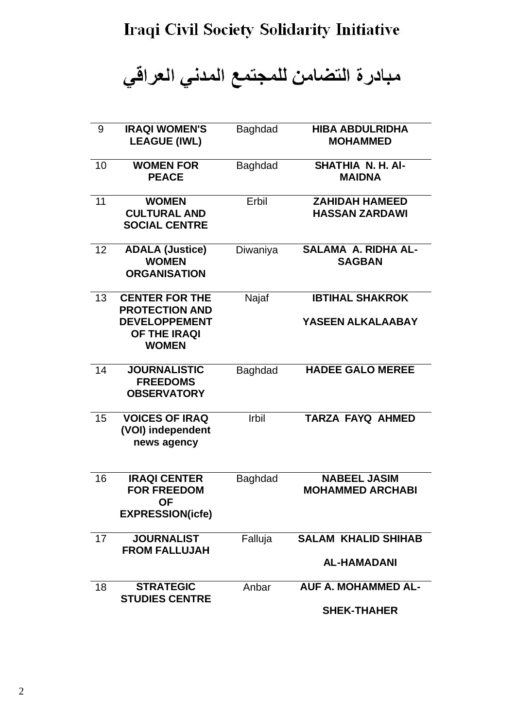مبادرة التضامن للمجتمع المدني العراقي

| 9  | <b>IRAQI WOMEN'S</b><br><b>LEAGUE (IWL)</b>                                       | <b>Baghdad</b> | <b>HIBA ABDULRIDHA</b><br><b>MOHAMMED</b>      |
|----|-----------------------------------------------------------------------------------|----------------|------------------------------------------------|
| 10 | <b>WOMEN FOR</b><br><b>PEACE</b>                                                  | <b>Baghdad</b> | SHATHIA N. H. AI-<br><b>MAIDNA</b>             |
| 11 | <b>WOMEN</b><br><b>CULTURAL AND</b><br><b>SOCIAL CENTRE</b>                       | Erbil          | <b>ZAHIDAH HAMEED</b><br><b>HASSAN ZARDAWI</b> |
| 12 | <b>ADALA (Justice)</b><br><b>WOMEN</b><br><b>ORGANISATION</b>                     | Diwaniya       | <b>SALAMA A. RIDHA AL-</b><br><b>SAGBAN</b>    |
| 13 | <b>CENTER FOR THE</b><br><b>PROTECTION AND</b>                                    | Najaf          | <b>IBTIHAL SHAKROK</b>                         |
|    | <b>DEVELOPPEMENT</b><br><b>OF THE IRAQI</b><br><b>WOMEN</b>                       |                | YASEEN ALKALAABAY                              |
| 14 | <b>JOURNALISTIC</b><br><b>FREEDOMS</b><br><b>OBSERVATORY</b>                      | <b>Baghdad</b> | <b>HADEE GALO MEREE</b>                        |
| 15 | <b>VOICES OF IRAQ</b><br>(VOI) independent<br>news agency                         | <b>Irbil</b>   | <b>TARZA FAYQ AHMED</b>                        |
| 16 | <b>IRAQI CENTER</b><br><b>FOR FREEDOM</b><br><b>OF</b><br><b>EXPRESSION(icfe)</b> | <b>Baghdad</b> | <b>NABEEL JASIM</b><br><b>MOHAMMED ARCHABI</b> |
| 17 | <b>JOURNALIST</b><br><b>FROM FALLUJAH</b>                                         | Falluja        | <b>SALAM KHALID SHIHAB</b>                     |
|    |                                                                                   |                | <b>AL-HAMADANI</b>                             |
| 18 | <b>STRATEGIC</b><br><b>STUDIES CENTRE</b>                                         | Anbar          | <b>AUF A. MOHAMMED AL-</b>                     |
|    |                                                                                   |                | <b>SHEK-THAHER</b>                             |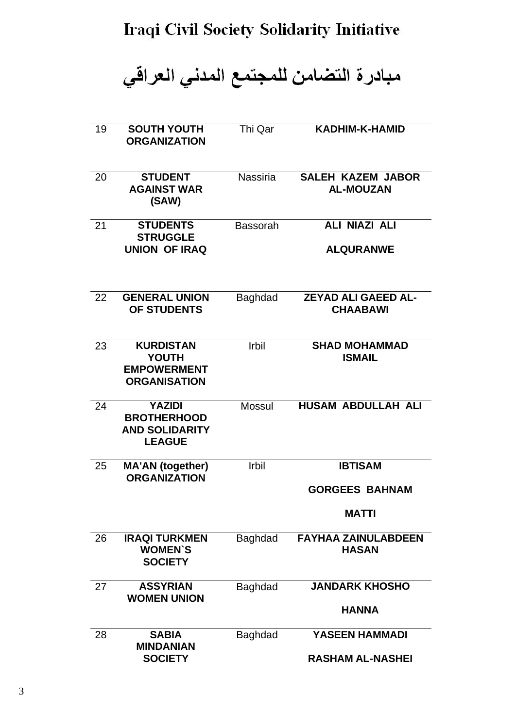## **Iraqi Civil Society Solidarity Initiative**

مبادرة التضامن للمجتمع المدني العراقي

| 19 | <b>SOUTH YOUTH</b><br><b>ORGANIZATION</b>                                     | Thi Qar         | <b>KADHIM-K-HAMID</b>                                   |
|----|-------------------------------------------------------------------------------|-----------------|---------------------------------------------------------|
| 20 | <b>STUDENT</b><br><b>AGAINST WAR</b><br>(SAW)                                 | <b>Nassiria</b> | <b>SALEH KAZEM JABOR</b><br><b>AL-MOUZAN</b>            |
| 21 | <b>STUDENTS</b><br><b>STRUGGLE</b><br><b>UNION OF IRAQ</b>                    | <b>Bassorah</b> | <b>ALI NIAZI ALI</b><br><b>ALQURANWE</b>                |
| 22 | <b>GENERAL UNION</b><br>OF STUDENTS                                           | <b>Baghdad</b>  | <b>ZEYAD ALI GAEED AL-</b><br><b>CHAABAWI</b>           |
| 23 | <b>KURDISTAN</b><br><b>YOUTH</b><br><b>EMPOWERMENT</b><br><b>ORGANISATION</b> | <b>Irbil</b>    | <b>SHAD MOHAMMAD</b><br><b>ISMAIL</b>                   |
| 24 | <b>YAZIDI</b><br><b>BROTHERHOOD</b><br><b>AND SOLIDARITY</b><br><b>LEAGUE</b> | <b>Mossul</b>   | <b>HUSAM ABDULLAH ALI</b>                               |
| 25 | <b>MA'AN (together)</b><br><b>ORGANIZATION</b>                                | <b>Irbil</b>    | <b>IBTISAM</b><br><b>GORGEES BAHNAM</b><br><b>MATTI</b> |
| 26 | <b>IRAQI TURKMEN</b><br><b>WOMEN'S</b><br><b>SOCIETY</b>                      | Baghdad         | <b>FAYHAA ZAINULABDEEN</b><br><b>HASAN</b>              |
| 27 | <b>ASSYRIAN</b><br><b>WOMEN UNION</b>                                         | <b>Baghdad</b>  | <b>JANDARK KHOSHO</b><br>HANNA                          |
| 28 | <b>SABIA</b><br><b>MINDANIAN</b><br><b>SOCIETY</b>                            | <b>Baghdad</b>  | <b>YASEEN HAMMADI</b><br><b>RASHAM AL-NASHEI</b>        |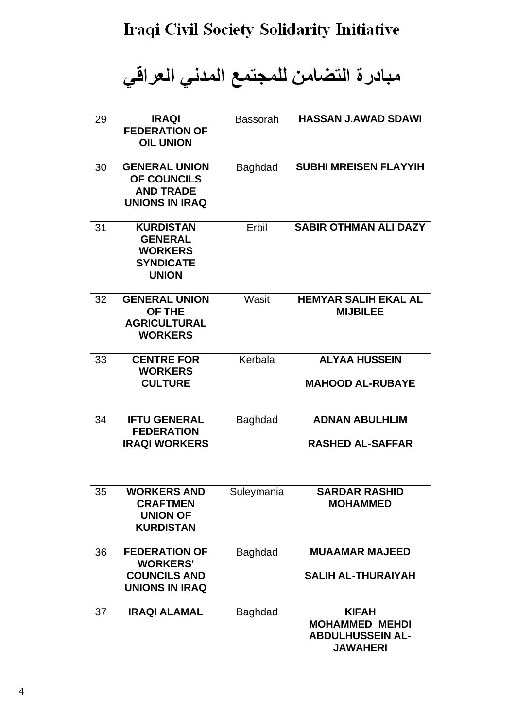مبادرة التضامن للمجتمع المدني العراقي

| 29 | <b>IRAQI</b><br><b>FEDERATION OF</b><br><b>OIL UNION</b>                                 | <b>Bassorah</b> | <b>HASSAN J.AWAD SDAWI</b>                                                          |
|----|------------------------------------------------------------------------------------------|-----------------|-------------------------------------------------------------------------------------|
| 30 | <b>GENERAL UNION</b><br>OF COUNCILS<br><b>AND TRADE</b><br><b>UNIONS IN IRAQ</b>         | <b>Baghdad</b>  | <b>SUBHI MREISEN FLAYYIH</b>                                                        |
| 31 | <b>KURDISTAN</b><br><b>GENERAL</b><br><b>WORKERS</b><br><b>SYNDICATE</b><br><b>UNION</b> | Erbil           | <b>SABIR OTHMAN ALI DAZY</b>                                                        |
| 32 | <b>GENERAL UNION</b><br><b>OF THE</b><br><b>AGRICULTURAL</b><br><b>WORKERS</b>           | Wasit           | <b>HEMYAR SALIH EKAL AL</b><br><b>MIJBILEE</b>                                      |
| 33 | <b>CENTRE FOR</b><br><b>WORKERS</b>                                                      | Kerbala         | <b>ALYAA HUSSEIN</b>                                                                |
|    | <b>CULTURE</b>                                                                           |                 | <b>MAHOOD AL-RUBAYE</b>                                                             |
| 34 | <b>IFTU GENERAL</b><br><b>FEDERATION</b>                                                 | <b>Baghdad</b>  | <b>ADNAN ABULHLIM</b>                                                               |
|    | <b>IRAQI WORKERS</b>                                                                     |                 | <b>RASHED AL-SAFFAR</b>                                                             |
| 35 | <b>WORKERS AND</b><br><b>CRAFTMEN</b><br><b>UNION OF</b><br><b>KURDISTAN</b>             | Suleymania      | <b>SARDAR RASHID</b><br><b>MOHAMMED</b>                                             |
| 36 | <b>FEDERATION OF</b><br><b>WORKERS'</b>                                                  | <b>Baghdad</b>  | <b>MUAAMAR MAJEED</b>                                                               |
|    | <b>COUNCILS AND</b><br><b>UNIONS IN IRAQ</b>                                             |                 | <b>SALIH AL-THURAIYAH</b>                                                           |
| 37 | <b>IRAQI ALAMAL</b>                                                                      | <b>Baghdad</b>  | <b>KIFAH</b><br><b>MOHAMMED MEHDI</b><br><b>ABDULHUSSEIN AL-</b><br><b>JAWAHERI</b> |